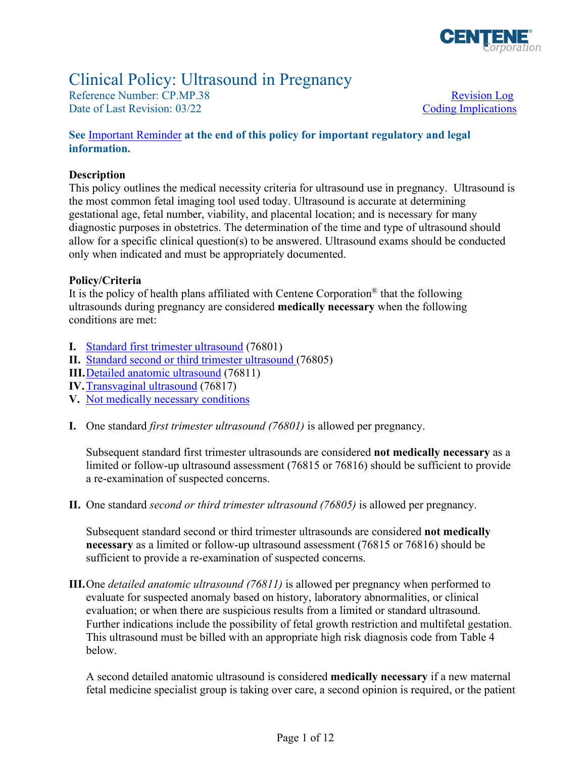

# Clinical Policy: Ultrasound in Pregnancy

Reference Number: CP.MP.38 Revision Log Date of Last Revision: 03/22 Coding Implications

#### **See** [Important Reminder](#page-9-0) **at the end of this policy for important regulatory and legal information.**

#### **Description**

This policy outlines the medical necessity criteria for ultrasound use in pregnancy. Ultrasound is the most common fetal imaging tool used today. Ultrasound is accurate at determining gestational age, fetal number, viability, and placental location; and is necessary for many diagnostic purposes in obstetrics. The determination of the time and type of ultrasound should allow for a specific clinical question(s) to be answered. Ultrasound exams should be conducted only when indicated and must be appropriately documented.

#### **Policy/Criteria**

It is the policy of health plans affiliated with Centene Corporation® that the following ultrasounds during pregnancy are considered **medically necessary** when the following conditions are met:

- **I.** [Standard first trimester ultrasound](#page-0-0) (76801)
- **II.** [Standard second or third trimester ultrasound](#page-0-1) (76805)
- **III.**[Detailed anatomic ultrasound](#page-0-2) (76811)
- **IV. Transvaginal ultrasound** (76817)
- **V.** [Not medically necessary conditions](#page-1-1)
- <span id="page-0-0"></span>**I.** One standard *first trimester ultrasound (76801)* is allowed per pregnancy.

 limited or follow-up ultrasound assessment (76815 or 76816) should be sufficient to provide a re-examination of suspected concerns. Subsequent standard first trimester ultrasounds are considered **not medically necessary** as a

<span id="page-0-1"></span>**II.** One standard *second or third trimester ultrasound (76805)* is allowed per pregnancy.

 **necessary** as a limited or follow-up ultrasound assessment (76815 or 76816) should be Subsequent standard second or third trimester ultrasounds are considered **not medically**  sufficient to provide a re-examination of suspected concerns.

<span id="page-0-2"></span>**III.**One *detailed anatomic ultrasound (76811)* is allowed per pregnancy when performed to evaluate for suspected anomaly based on history, laboratory abnormalities, or clinical evaluation; or when there are suspicious results from a limited or standard ultrasound. Further indications include the possibility of fetal growth restriction and multifetal gestation. This ultrasound must be billed with an appropriate high risk diagnosis code from Table 4 below.

 fetal medicine specialist group is taking over care, a second opinion is required, or the patient A second detailed anatomic ultrasound is considered **medically necessary** if a new maternal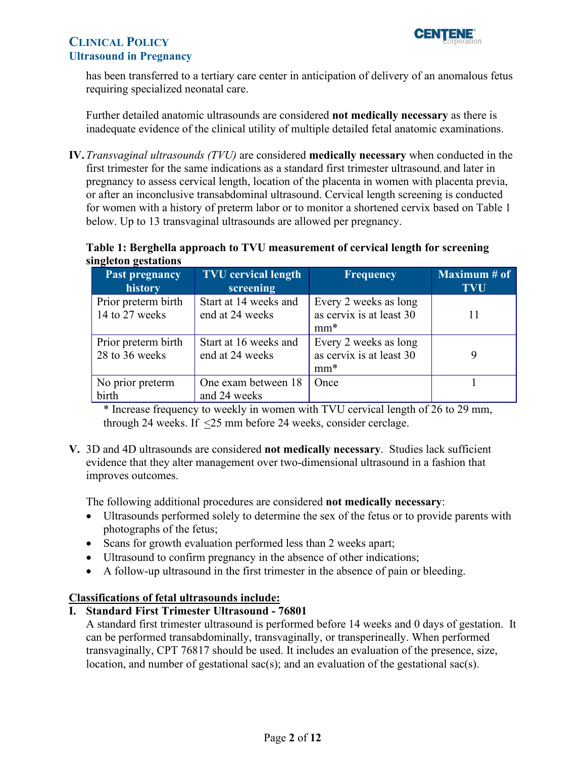

has been transferred to a tertiary care center in anticipation of delivery of an anomalous fetus requiring specialized neonatal care.

Further detailed anatomic ultrasounds are considered **not medically necessary** as there is inadequate evidence of the clinical utility of multiple detailed fetal anatomic examinations.

<span id="page-1-0"></span>**IV.** *Transvaginal ultrasounds (TVU)* are considered **medically necessary** when conducted in the first trimester for the same indications as a standard first trimester ultrasound, and later in pregnancy to assess cervical length, location of the placenta in women with placenta previa, or after an inconclusive transabdominal ultrasound. Cervical length screening is conducted for women with a history of preterm labor or to monitor a shortened cervix based on Table 1 below. Up to 13 transvaginal ultrasounds are allowed per pregnancy.

#### **Table 1: Berghella approach to TVU measurement of cervical length for screening singleton gestations**

| <b>Past pregnancy</b><br>history      | <b>TVU</b> cervical length<br>screening  | <b>Frequency</b>                                            | Maximum $#$ of<br><b>TVU</b> |
|---------------------------------------|------------------------------------------|-------------------------------------------------------------|------------------------------|
| Prior preterm birth<br>14 to 27 weeks | Start at 14 weeks and<br>end at 24 weeks | Every 2 weeks as long<br>as cervix is at least 30<br>$mm^*$ |                              |
| Prior preterm birth<br>28 to 36 weeks | Start at 16 weeks and<br>end at 24 weeks | Every 2 weeks as long<br>as cervix is at least 30<br>$mm^*$ |                              |
| No prior preterm<br>birth             | One exam between 18<br>and 24 weeks      | Once                                                        |                              |

\* Increase frequency to weekly in women with TVU cervical length of 26 to 29 mm, through 24 weeks. If <25 mm before 24 weeks, consider cerclage.

<span id="page-1-1"></span>**V.** 3D and 4D ultrasounds are considered **not medically necessary**. Studies lack sufficient evidence that they alter management over two-dimensional ultrasound in a fashion that improves outcomes.

The following additional procedures are considered **not medically necessary**:

- Ultrasounds performed solely to determine the sex of the fetus or to provide parents with photographs of the fetus;
- Scans for growth evaluation performed less than 2 weeks apart;
- Ultrasound to confirm pregnancy in the absence of other indications;
- A follow-up ultrasound in the first trimester in the absence of pain or bleeding.

### **Classifications of fetal ultrasounds include:**

### **I. Standard First Trimester Ultrasound - 76801**

A standard first trimester ultrasound is performed before 14 weeks and 0 days of gestation. It can be performed transabdominally, transvaginally, or transperineally. When performed transvaginally, CPT 76817 should be used. It includes an evaluation of the presence, size, location, and number of gestational sac(s); and an evaluation of the gestational sac(s).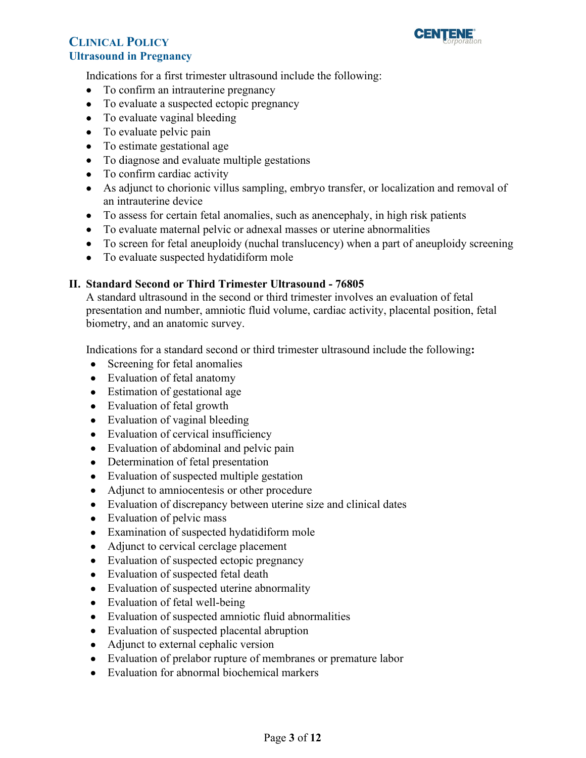

Indications for a first trimester ultrasound include the following:

- To confirm an intrauterine pregnancy
- To evaluate a suspected ectopic pregnancy
- To evaluate vaginal bleeding
- To evaluate pelvic pain
- To estimate gestational age
- To diagnose and evaluate multiple gestations
- To confirm cardiac activity
- As adjunct to chorionic villus sampling, embryo transfer, or localization and removal of an intrauterine device
- To assess for certain fetal anomalies, such as anencephaly, in high risk patients
- To evaluate maternal pelvic or adnexal masses or uterine abnormalities
- To screen for fetal aneuploidy (nuchal translucency) when a part of aneuploidy screening
- To evaluate suspected hydatidiform mole

### **II. Standard Second or Third Trimester Ultrasound - 76805**

A standard ultrasound in the second or third trimester involves an evaluation of fetal presentation and number, amniotic fluid volume, cardiac activity, placental position, fetal biometry, and an anatomic survey.

Indications for a standard second or third trimester ultrasound include the following**:** 

- Screening for fetal anomalies
- Evaluation of fetal anatomy
- Estimation of gestational age
- Evaluation of fetal growth
- Evaluation of vaginal bleeding
- Evaluation of cervical insufficiency
- Evaluation of abdominal and pelvic pain
- Determination of fetal presentation
- Evaluation of suspected multiple gestation
- Adjunct to amniocentesis or other procedure
- Evaluation of discrepancy between uterine size and clinical dates
- Evaluation of pelvic mass
- Examination of suspected hydatidiform mole
- Adjunct to cervical cerclage placement
- Evaluation of suspected ectopic pregnancy
- Evaluation of suspected fetal death
- Evaluation of suspected uterine abnormality
- Evaluation of fetal well-being
- Evaluation of suspected amniotic fluid abnormalities
- Evaluation of suspected placental abruption
- Adjunct to external cephalic version
- Evaluation of prelabor rupture of membranes or premature labor
- Evaluation for abnormal biochemical markers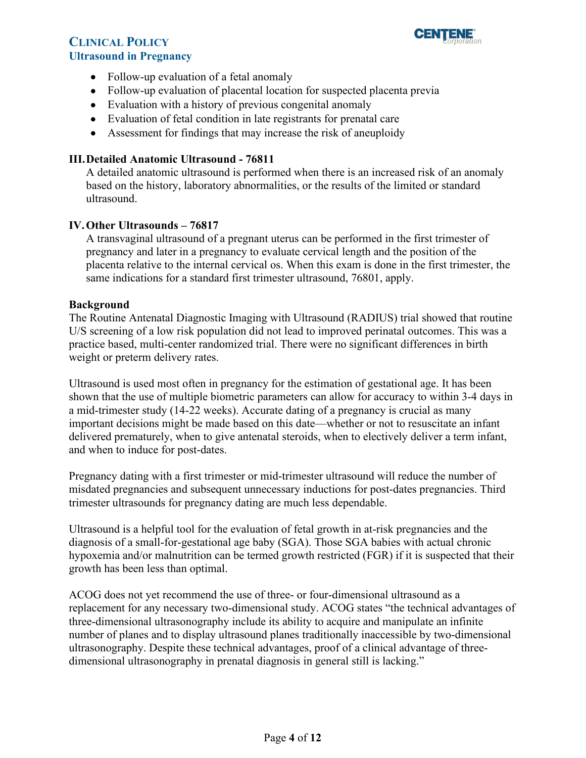

- Follow-up evaluation of a fetal anomaly
- Follow-up evaluation of placental location for suspected placenta previa
- Evaluation with a history of previous congenital anomaly
- Evaluation of fetal condition in late registrants for prenatal care
- Assessment for findings that may increase the risk of aneuploidy

#### **III.Detailed Anatomic Ultrasound - 76811**

A detailed anatomic ultrasound is performed when there is an increased risk of an anomaly based on the history, laboratory abnormalities, or the results of the limited or standard ultrasound.

#### **IV. Other Ultrasounds – 76817**

A transvaginal ultrasound of a pregnant uterus can be performed in the first trimester of pregnancy and later in a pregnancy to evaluate cervical length and the position of the placenta relative to the internal cervical os. When this exam is done in the first trimester, the same indications for a standard first trimester ultrasound, 76801, apply.

#### **Background**

The Routine Antenatal Diagnostic Imaging with Ultrasound (RADIUS) trial showed that routine U/S screening of a low risk population did not lead to improved perinatal outcomes. This was a practice based, multi-center randomized trial. There were no significant differences in birth weight or preterm delivery rates.

Ultrasound is used most often in pregnancy for the estimation of gestational age. It has been shown that the use of multiple biometric parameters can allow for accuracy to within 3-4 days in a mid-trimester study (14-22 weeks). Accurate dating of a pregnancy is crucial as many important decisions might be made based on this date—whether or not to resuscitate an infant delivered prematurely, when to give antenatal steroids, when to electively deliver a term infant, and when to induce for post-dates.

Pregnancy dating with a first trimester or mid-trimester ultrasound will reduce the number of misdated pregnancies and subsequent unnecessary inductions for post-dates pregnancies. Third trimester ultrasounds for pregnancy dating are much less dependable.

Ultrasound is a helpful tool for the evaluation of fetal growth in at-risk pregnancies and the diagnosis of a small-for-gestational age baby (SGA). Those SGA babies with actual chronic hypoxemia and/or malnutrition can be termed growth restricted (FGR) if it is suspected that their growth has been less than optimal.

 dimensional ultrasonography in prenatal diagnosis in general still is lacking." ACOG does not yet recommend the use of three- or four-dimensional ultrasound as a replacement for any necessary two-dimensional study. ACOG states "the technical advantages of three-dimensional ultrasonography include its ability to acquire and manipulate an infinite number of planes and to display ultrasound planes traditionally inaccessible by two-dimensional ultrasonography. Despite these technical advantages, proof of a clinical advantage of three-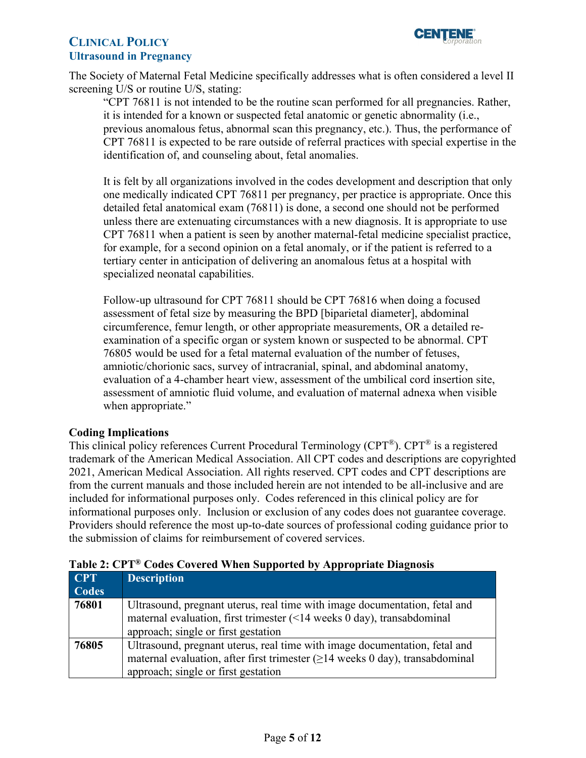

The Society of Maternal Fetal Medicine specifically addresses what is often considered a level II screening U/S or routine U/S, stating:

"CPT 76811 is not intended to be the routine scan performed for all pregnancies. Rather, it is intended for a known or suspected fetal anatomic or genetic abnormality (i.e., previous anomalous fetus, abnormal scan this pregnancy, etc.). Thus, the performance of CPT 76811 is expected to be rare outside of referral practices with special expertise in the identification of, and counseling about, fetal anomalies.

 detailed fetal anatomical exam (76811) is done, a second one should not be performed It is felt by all organizations involved in the codes development and description that only one medically indicated CPT 76811 per pregnancy, per practice is appropriate. Once this unless there are extenuating circumstances with a new diagnosis. It is appropriate to use CPT 76811 when a patient is seen by another maternal-fetal medicine specialist practice, for example, for a second opinion on a fetal anomaly, or if the patient is referred to a tertiary center in anticipation of delivering an anomalous fetus at a hospital with specialized neonatal capabilities.

Follow-up ultrasound for CPT 76811 should be CPT 76816 when doing a focused assessment of fetal size by measuring the BPD [biparietal diameter], abdominal circumference, femur length, or other appropriate measurements, OR a detailed reexamination of a specific organ or system known or suspected to be abnormal. CPT 76805 would be used for a fetal maternal evaluation of the number of fetuses, amniotic/chorionic sacs, survey of intracranial, spinal, and abdominal anatomy, evaluation of a 4-chamber heart view, assessment of the umbilical cord insertion site, assessment of amniotic fluid volume, and evaluation of maternal adnexa when visible when appropriate."

#### **Coding Implications**

This clinical policy references Current Procedural Terminology (CPT®). CPT® is a registered trademark of the American Medical Association. All CPT codes and descriptions are copyrighted 2021, American Medical Association. All rights reserved. CPT codes and CPT descriptions are from the current manuals and those included herein are not intended to be all-inclusive and are included for informational purposes only. Codes referenced in this clinical policy are for informational purposes only. Inclusion or exclusion of any codes does not guarantee coverage. Providers should reference the most up-to-date sources of professional coding guidance prior to the submission of claims for reimbursement of covered services.

| <b>CPT</b>   | <b>Description</b>                                                                 |
|--------------|------------------------------------------------------------------------------------|
| <b>Codes</b> |                                                                                    |
| 76801        | Ultrasound, pregnant uterus, real time with image documentation, fetal and         |
|              | maternal evaluation, first trimester (<14 weeks 0 day), transabdominal             |
|              | approach; single or first gestation                                                |
| 76805        | Ultrasound, pregnant uterus, real time with image documentation, fetal and         |
|              | maternal evaluation, after first trimester $(\geq)14$ weeks 0 day), transabdominal |
|              | approach; single or first gestation                                                |

# <span id="page-4-0"></span>**Table 2: CPT® Codes Covered When Supported by Appropriate Diagnosis**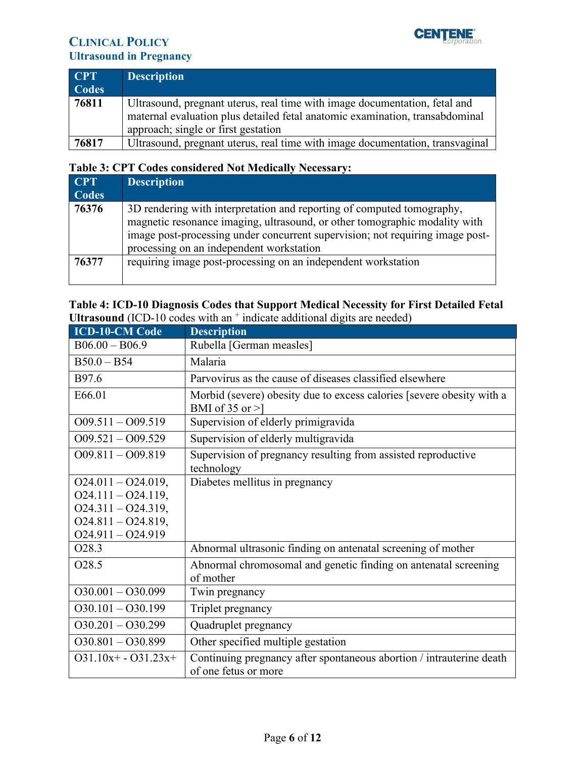

| <b>CPT</b><br><b>Codes</b> | <b>Description</b>                                                                                                                                                                                |
|----------------------------|---------------------------------------------------------------------------------------------------------------------------------------------------------------------------------------------------|
| 76811                      | Ultrasound, pregnant uterus, real time with image documentation, fetal and<br>maternal evaluation plus detailed fetal anatomic examination, transabdominal<br>approach; single or first gestation |
| 76817                      | Ultrasound, pregnant uterus, real time with image documentation, transvaginal                                                                                                                     |

# **Table 3: CPT Codes considered Not Medically Necessary:**

| <b>CPT</b>   | <b>Description</b>                                                                                                                                                                                                                                                                |
|--------------|-----------------------------------------------------------------------------------------------------------------------------------------------------------------------------------------------------------------------------------------------------------------------------------|
| <b>Codes</b> |                                                                                                                                                                                                                                                                                   |
| 76376        | 3D rendering with interpretation and reporting of computed tomography,<br>magnetic resonance imaging, ultrasound, or other tomographic modality with<br>image post-processing under concurrent supervision; not requiring image post-<br>processing on an independent workstation |
| 76377        | requiring image post-processing on an independent workstation                                                                                                                                                                                                                     |

### **Table 4: ICD-10 Diagnosis Codes that Support Medical Necessity for First Detailed Fetal**  Ultrasound (ICD-10 codes with an <sup>+</sup> indicate additional digits are needed)

| <b>ICD-10-CM Code</b> | <b>Description</b>                                                                            |
|-----------------------|-----------------------------------------------------------------------------------------------|
| $B06.00 - B06.9$      | Rubella [German measles]                                                                      |
| $B50.0 - B54$         | Malaria                                                                                       |
| B97.6                 | Parvovirus as the cause of diseases classified elsewhere                                      |
| E66.01                | Morbid (severe) obesity due to excess calories [severe obesity with a<br>BMI of $35$ or $>$ ] |
| $O(9.511 - O(9.519$   | Supervision of elderly primigravida                                                           |
| $O(9.521 - O(9.529))$ | Supervision of elderly multigravida                                                           |
| $O(9.811 - O(9.819$   | Supervision of pregnancy resulting from assisted reproductive                                 |
|                       | technology                                                                                    |
| $O24.011 - O24.019$ , | Diabetes mellitus in pregnancy                                                                |
| $O24.111 - O24.119,$  |                                                                                               |
| $O24.311 - O24.319,$  |                                                                                               |
| $O24.811 - O24.819,$  |                                                                                               |
| $O24.911 - O24.919$   |                                                                                               |
| O28.3                 | Abnormal ultrasonic finding on antenatal screening of mother                                  |
| O <sub>2</sub> 8.5    | Abnormal chromosomal and genetic finding on antenatal screening                               |
|                       | of mother                                                                                     |
| $O30.001 - O30.099$   | Twin pregnancy                                                                                |
| $O30.101 - O30.199$   | Triplet pregnancy                                                                             |
| $O30.201 - O30.299$   | Quadruplet pregnancy                                                                          |
| $O30.801 - O30.899$   | Other specified multiple gestation                                                            |
| $O31.10x+ - O31.23x+$ | Continuing pregnancy after spontaneous abortion / intrauterine death                          |
|                       | of one fetus or more                                                                          |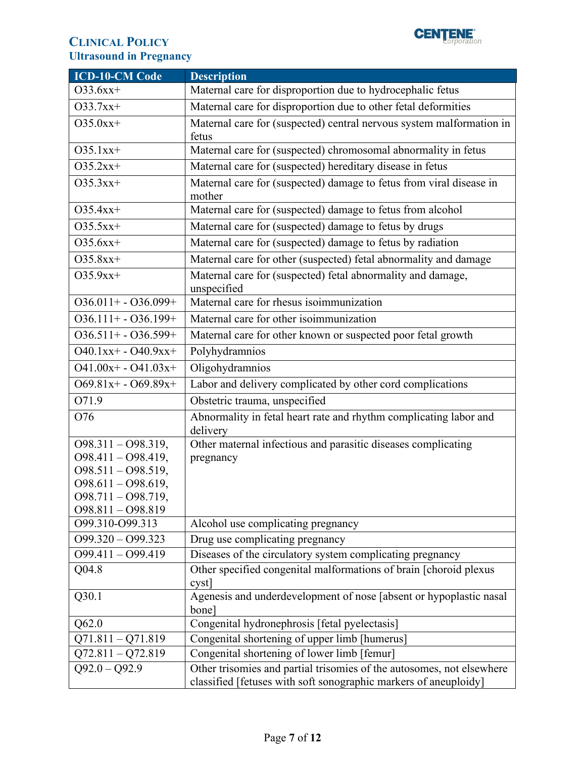

| <b>ICD-10-CM Code</b>                                                                                                                   | <b>Description</b>                                                                                                                        |
|-----------------------------------------------------------------------------------------------------------------------------------------|-------------------------------------------------------------------------------------------------------------------------------------------|
| $O33.6xx+$                                                                                                                              | Maternal care for disproportion due to hydrocephalic fetus                                                                                |
| $O33.7xx+$                                                                                                                              | Maternal care for disproportion due to other fetal deformities                                                                            |
| $O35.0xx+$                                                                                                                              | Maternal care for (suspected) central nervous system malformation in<br>fetus                                                             |
| $O35.1xx+$                                                                                                                              | Maternal care for (suspected) chromosomal abnormality in fetus                                                                            |
| $O35.2xx+$                                                                                                                              | Maternal care for (suspected) hereditary disease in fetus                                                                                 |
| $O35.3xx+$                                                                                                                              | Maternal care for (suspected) damage to fetus from viral disease in<br>mother                                                             |
| $O35.4xx+$                                                                                                                              | Maternal care for (suspected) damage to fetus from alcohol                                                                                |
| $O35.5xx+$                                                                                                                              | Maternal care for (suspected) damage to fetus by drugs                                                                                    |
| $O35.6xx+$                                                                                                                              | Maternal care for (suspected) damage to fetus by radiation                                                                                |
| $O35.8xx+$                                                                                                                              | Maternal care for other (suspected) fetal abnormality and damage                                                                          |
| $O35.9xx+$                                                                                                                              | Maternal care for (suspected) fetal abnormality and damage,<br>unspecified                                                                |
| $O36.011 + - O36.099 +$                                                                                                                 | Maternal care for rhesus isoimmunization                                                                                                  |
| $O36.111 + - O36.199 +$                                                                                                                 | Maternal care for other isoimmunization                                                                                                   |
| $036.511 + -036.599 +$                                                                                                                  | Maternal care for other known or suspected poor fetal growth                                                                              |
| $O40.1xx + - O40.9xx +$                                                                                                                 | Polyhydramnios                                                                                                                            |
| $O41.00x + - O41.03x +$                                                                                                                 | Oligohydramnios                                                                                                                           |
| $O69.81x+ - O69.89x+$                                                                                                                   | Labor and delivery complicated by other cord complications                                                                                |
| O71.9                                                                                                                                   | Obstetric trauma, unspecified                                                                                                             |
| O76                                                                                                                                     | Abnormality in fetal heart rate and rhythm complicating labor and<br>delivery                                                             |
| $O98.311 - O98.319,$<br>$O98.411 - O98.419,$<br>$098.511 - 098.519,$<br>$O98.611 - O98.619,$<br>O98.711 - O98.719,<br>098.811 - 098.819 | Other maternal infectious and parasitic diseases complicating<br>pregnancy                                                                |
| O99.310-O99.313                                                                                                                         | Alcohol use complicating pregnancy                                                                                                        |
| $O99.320 - O99.323$                                                                                                                     | Drug use complicating pregnancy                                                                                                           |
| 099.411 - 099.419                                                                                                                       | Diseases of the circulatory system complicating pregnancy                                                                                 |
| Q04.8                                                                                                                                   | Other specified congenital malformations of brain [choroid plexus<br>cystl                                                                |
| Q30.1                                                                                                                                   | Agenesis and underdevelopment of nose [absent or hypoplastic nasal<br>bone <sup>]</sup>                                                   |
| Q62.0                                                                                                                                   | Congenital hydronephrosis [fetal pyelectasis]                                                                                             |
| $Q71.811 - Q71.819$                                                                                                                     | Congenital shortening of upper limb [humerus]                                                                                             |
| $Q72.811 - Q72.819$                                                                                                                     | Congenital shortening of lower limb [femur]                                                                                               |
| $Q92.0 - Q92.9$                                                                                                                         | Other trisomies and partial trisomies of the autosomes, not elsewhere<br>classified [fetuses with soft sonographic markers of aneuploidy] |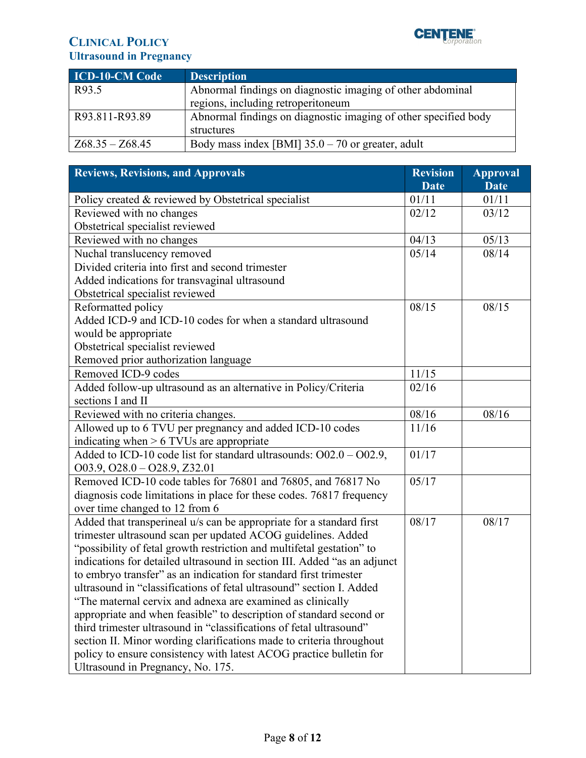

| <b>ICD-10-CM Code</b> | <b>Description</b>                                              |
|-----------------------|-----------------------------------------------------------------|
| R93.5                 | Abnormal findings on diagnostic imaging of other abdominal      |
|                       | regions, including retroperitoneum                              |
| R93.811-R93.89        | Abnormal findings on diagnostic imaging of other specified body |
|                       | structures                                                      |
| $Z68.35 - Z68.45$     | Body mass index [BMI] $35.0 - 70$ or greater, adult             |

<span id="page-7-0"></span>

| <b>Reviews, Revisions, and Approvals</b>                                 |             | <b>Approval</b> |
|--------------------------------------------------------------------------|-------------|-----------------|
|                                                                          | <b>Date</b> | <b>Date</b>     |
| Policy created & reviewed by Obstetrical specialist                      | 01/11       | 01/11           |
| Reviewed with no changes                                                 | 02/12       | 03/12           |
| Obstetrical specialist reviewed                                          |             |                 |
| Reviewed with no changes                                                 | 04/13       | 05/13           |
| Nuchal translucency removed                                              | 05/14       | 08/14           |
| Divided criteria into first and second trimester                         |             |                 |
| Added indications for transvaginal ultrasound                            |             |                 |
| Obstetrical specialist reviewed                                          |             |                 |
| Reformatted policy                                                       | 08/15       | 08/15           |
| Added ICD-9 and ICD-10 codes for when a standard ultrasound              |             |                 |
| would be appropriate                                                     |             |                 |
| Obstetrical specialist reviewed                                          |             |                 |
| Removed prior authorization language                                     |             |                 |
| Removed ICD-9 codes                                                      | 11/15       |                 |
| Added follow-up ultrasound as an alternative in Policy/Criteria          | 02/16       |                 |
| sections I and II                                                        |             |                 |
| Reviewed with no criteria changes.                                       | 08/16       | 08/16           |
| Allowed up to 6 TVU per pregnancy and added ICD-10 codes                 | 11/16       |                 |
| indicating when $> 6$ TVUs are appropriate                               |             |                 |
| Added to ICD-10 code list for standard ultrasounds: $O$ 02.0 - $O$ 02.9, | 01/17       |                 |
| $003.9, 028.0 - 028.9, Z32.01$                                           |             |                 |
| Removed ICD-10 code tables for 76801 and 76805, and 76817 No             | 05/17       |                 |
| diagnosis code limitations in place for these codes. 76817 frequency     |             |                 |
| over time changed to 12 from 6                                           |             |                 |
| Added that transperineal u/s can be appropriate for a standard first     | 08/17       | 08/17           |
| trimester ultrasound scan per updated ACOG guidelines. Added             |             |                 |
| "possibility of fetal growth restriction and multifetal gestation" to    |             |                 |
| indications for detailed ultrasound in section III. Added "as an adjunct |             |                 |
| to embryo transfer" as an indication for standard first trimester        |             |                 |
| ultrasound in "classifications of fetal ultrasound" section I. Added     |             |                 |
| "The maternal cervix and adnexa are examined as clinically               |             |                 |
| appropriate and when feasible" to description of standard second or      |             |                 |
| third trimester ultrasound in "classifications of fetal ultrasound"      |             |                 |
| section II. Minor wording clarifications made to criteria throughout     |             |                 |
| policy to ensure consistency with latest ACOG practice bulletin for      |             |                 |
| Ultrasound in Pregnancy, No. 175.                                        |             |                 |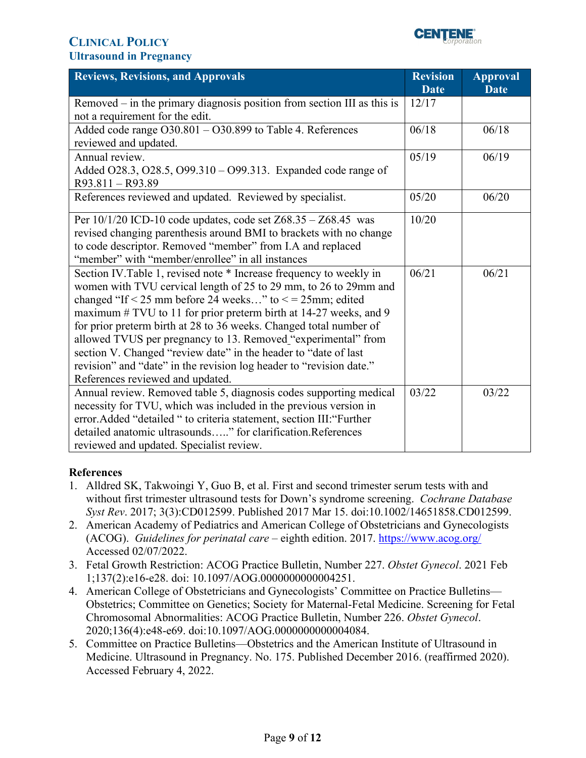

| <b>Reviews, Revisions, and Approvals</b>                                                                                                                                                                                                                                                                                                                                                                                                                                                                                                                                                               | <b>Revision</b><br><b>Date</b> | <b>Approval</b><br><b>Date</b> |
|--------------------------------------------------------------------------------------------------------------------------------------------------------------------------------------------------------------------------------------------------------------------------------------------------------------------------------------------------------------------------------------------------------------------------------------------------------------------------------------------------------------------------------------------------------------------------------------------------------|--------------------------------|--------------------------------|
| Removed $-$ in the primary diagnosis position from section III as this is<br>not a requirement for the edit.                                                                                                                                                                                                                                                                                                                                                                                                                                                                                           | 12/17                          |                                |
| Added code range O30.801 - O30.899 to Table 4. References<br>reviewed and updated.                                                                                                                                                                                                                                                                                                                                                                                                                                                                                                                     | 06/18                          | 06/18                          |
| Annual review.<br>Added O28.3, O28.5, O99.310 – O99.313. Expanded code range of<br>R93.811 - R93.89                                                                                                                                                                                                                                                                                                                                                                                                                                                                                                    | 05/19                          | 06/19                          |
| References reviewed and updated. Reviewed by specialist.                                                                                                                                                                                                                                                                                                                                                                                                                                                                                                                                               | 05/20                          | 06/20                          |
| Per $10/1/20$ ICD-10 code updates, code set $Z68.35 - Z68.45$ was<br>revised changing parenthesis around BMI to brackets with no change<br>to code descriptor. Removed "member" from I.A and replaced<br>"member" with "member/enrollee" in all instances                                                                                                                                                                                                                                                                                                                                              | 10/20                          |                                |
| Section IV. Table 1, revised note * Increase frequency to weekly in<br>women with TVU cervical length of 25 to 29 mm, to 26 to 29 mm and<br>changed "If < 25 mm before 24 weeks" to $\leq$ = 25mm; edited<br>maximum $\#$ TVU to 11 for prior preterm birth at 14-27 weeks, and 9<br>for prior preterm birth at 28 to 36 weeks. Changed total number of<br>allowed TVUS per pregnancy to 13. Removed "experimental" from<br>section V. Changed "review date" in the header to "date of last<br>revision" and "date" in the revision log header to "revision date."<br>References reviewed and updated. | 06/21                          | 06/21                          |
| Annual review. Removed table 5, diagnosis codes supporting medical<br>necessity for TVU, which was included in the previous version in<br>error.Added "detailed " to criteria statement, section III: "Further<br>detailed anatomic ultrasounds" for clarification.References<br>reviewed and updated. Specialist review.                                                                                                                                                                                                                                                                              | 03/22                          | 03/22                          |

### **References**

- 1. Alldred SK, Takwoingi Y, Guo B, et al. First and second trimester serum tests with and without first trimester ultrasound tests for Down's syndrome screening. *Cochrane Database Syst Rev*. 2017; 3(3):CD012599. Published 2017 Mar 15. doi:10.1002/14651858.CD012599.
- 2. American Academy of Pediatrics and American College of Obstetricians and Gynecologists (ACOG). *Guidelines for perinatal care* – eighth edition. 2017.<https://www.acog.org/> Accessed 02/07/2022.
- 3. Fetal Growth Restriction: ACOG Practice Bulletin, Number 227. *Obstet Gynecol*. 2021 Feb 1;137(2):e16-e28. doi: 10.1097/AOG.0000000000004251.
- 4. American College of Obstetricians and Gynecologists' Committee on Practice Bulletins— Obstetrics; Committee on Genetics; Society for Maternal-Fetal Medicine. Screening for Fetal Chromosomal Abnormalities: ACOG Practice Bulletin, Number 226. *Obstet Gynecol*. 2020;136(4):e48-e69. doi:10.1097/AOG.0000000000004084.
- 5. Committee on Practice Bulletins—Obstetrics and the American Institute of Ultrasound in Medicine. Ultrasound in Pregnancy. No. 175. Published December 2016. (reaffirmed 2020). Accessed February 4, 2022.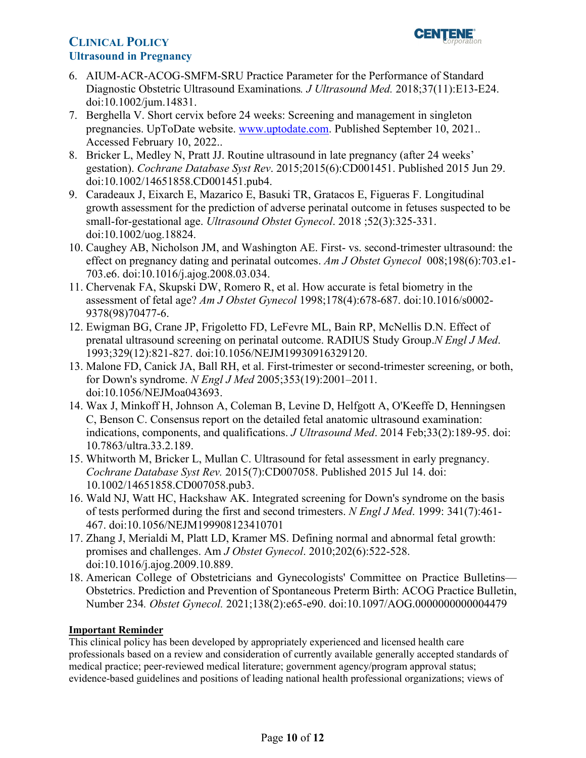

- 6. AIUM-ACR-ACOG-SMFM-SRU Practice Parameter for the Performance of Standard Diagnostic Obstetric Ultrasound Examinations*. J Ultrasound Med.* 2018;37(11):E13-E24. doi:10.1002/jum.14831.
- 7. Berghella V. Short cervix before 24 weeks: Screening and management in singleton pregnancies. UpToDate website. [www.uptodate.com.](http://www.uptodate.com/) Published September 10, 2021.. Accessed February 10, 2022..
- 8. Bricker L, Medley N, Pratt JJ. Routine ultrasound in late pregnancy (after 24 weeks' gestation). *Cochrane Database Syst Rev*. 2015;2015(6):CD001451. Published 2015 Jun 29. doi:10.1002/14651858.CD001451.pub4.
- 9. Caradeaux J, Eixarch E, Mazarico E, Basuki TR, Gratacos E, Figueras F. Longitudinal growth assessment for the prediction of adverse perinatal outcome in fetuses suspected to be small-for-gestational age. *Ultrasound Obstet Gynecol*. 2018 ; 52(3):325-331. doi:10.1002/uog.18824.
- 10. Caughey AB, Nicholson JM, and Washington AE. First- vs. second-trimester ultrasound: the effect on pregnancy dating and perinatal outcomes. *Am J Obstet Gynecol* 008;198(6):703.e1- 703.e6. doi:10.1016/j.ajog.2008.03.034.
- 11. Chervenak FA, Skupski DW, Romero R, et al. How accurate is fetal biometry in the assessment of fetal age? *Am J Obstet Gynecol* 1998;178(4):678-687. doi:10.1016/s0002- 9378(98)70477-6.
- 12. Ewigman BG, Crane JP, Frigoletto FD, LeFevre ML, Bain RP, McNellis D.N. Effect of prenatal ultrasound screening on perinatal outcome. RADIUS Study Group.*N Engl J Med*. 1993;329(12):821-827. doi:10.1056/NEJM19930916329120.
- 13. Malone FD, Canick JA, Ball RH, et al. First-trimester or second-trimester screening, or both, for Down's syndrome. *N Engl J Med* 2005;353(19):2001–2011. doi:10.1056/NEJMoa043693.
- 14. Wax J, Minkoff H, Johnson A, Coleman B, Levine D, Helfgott A, O'Keeffe D, Henningsen C, Benson C. Consensus report on the detailed fetal anatomic ultrasound examination: indications, components, and qualifications. *J Ultrasound Med*. 2014 Feb;33(2):189-95. doi: 10.7863/ultra.33.2.189.
- 15. Whitworth M, Bricker L, Mullan C. Ultrasound for fetal assessment in early pregnancy. *Cochrane Database Syst Rev.* 2015(7):CD007058. Published 2015 Jul 14. doi: 10.1002/14651858.CD007058.pub3.
- 16. Wald NJ, Watt HC, Hackshaw AK. Integrated screening for Down's syndrome on the basis of tests performed during the first and second trimesters. *N Engl J Med*. 1999: 341(7):461- 467. doi:10.1056/NEJM199908123410701
- 17. Zhang J, Merialdi M, Platt LD, Kramer MS. Defining normal and abnormal fetal growth: promises and challenges. Am *J Obstet Gynecol*. 2010;202(6):522-528. doi:10.1016/j.ajog.2009.10.889.
- 18. American College of Obstetricians and Gynecologists' Committee on Practice Bulletins— Obstetrics. Prediction and Prevention of Spontaneous Preterm Birth: ACOG Practice Bulletin, Number 234*. Obstet Gynecol.* 2021;138(2):e65-e90. doi:10.1097/AOG.0000000000004479

### <span id="page-9-0"></span>**Important Reminder**

 evidence-based guidelines and positions of leading national health professional organizations; views of This clinical policy has been developed by appropriately experienced and licensed health care professionals based on a review and consideration of currently available generally accepted standards of medical practice; peer-reviewed medical literature; government agency/program approval status;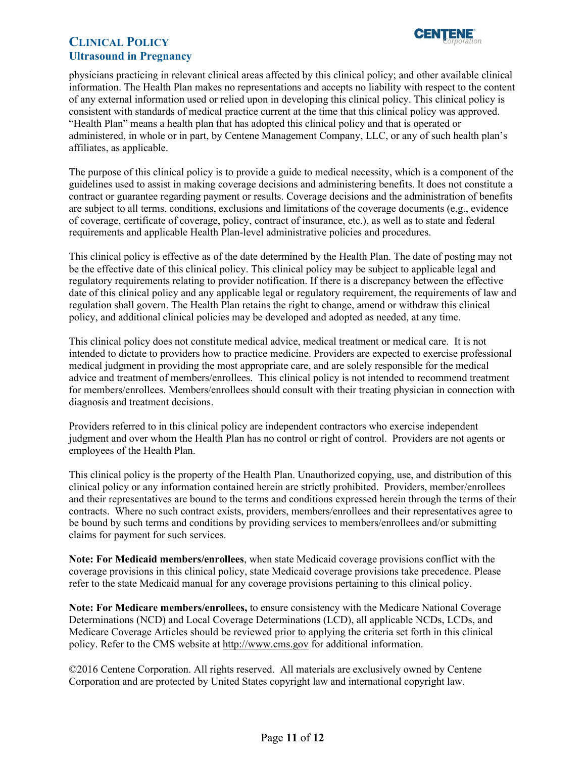

 physicians practicing in relevant clinical areas affected by this clinical policy; and other available clinical information. The Health Plan makes no representations and accepts no liability with respect to the content of any external information used or relied upon in developing this clinical policy. This clinical policy is "Health Plan" means a health plan that has adopted this clinical policy and that is operated or administered, in whole or in part, by Centene Management Company, LLC, or any of such health plan's consistent with standards of medical practice current at the time that this clinical policy was approved. affiliates, as applicable.

 The purpose of this clinical policy is to provide a guide to medical necessity, which is a component of the guidelines used to assist in making coverage decisions and administering benefits. It does not constitute a are subject to all terms, conditions, exclusions and limitations of the coverage documents (e.g., evidence requirements and applicable Health Plan-level administrative policies and procedures. contract or guarantee regarding payment or results. Coverage decisions and the administration of benefits of coverage, certificate of coverage, policy, contract of insurance, etc.), as well as to state and federal

 requirements and applicable Health Plan-level administrative policies and procedures. This clinical policy is effective as of the date determined by the Health Plan. The date of posting may not date of this clinical policy and any applicable legal or regulatory requirement, the requirements of law and regulation shall govern. The Health Plan retains the right to change, amend or withdraw this clinical be the effective date of this clinical policy. This clinical policy may be subject to applicable legal and regulatory requirements relating to provider notification. If there is a discrepancy between the effective policy, and additional clinical policies may be developed and adopted as needed, at any time.

 advice and treatment of members/enrollees. This clinical policy is not intended to recommend treatment This clinical policy does not constitute medical advice, medical treatment or medical care. It is not intended to dictate to providers how to practice medicine. Providers are expected to exercise professional medical judgment in providing the most appropriate care, and are solely responsible for the medical for members/enrollees. Members/enrollees should consult with their treating physician in connection with diagnosis and treatment decisions.

 Providers referred to in this clinical policy are independent contractors who exercise independent judgment and over whom the Health Plan has no control or right of control. Providers are not agents or employees of the Health Plan.

 and their representatives are bound to the terms and conditions expressed herein through the terms of their This clinical policy is the property of the Health Plan. Unauthorized copying, use, and distribution of this clinical policy or any information contained herein are strictly prohibited. Providers, member/enrollees contracts. Where no such contract exists, providers, members/enrollees and their representatives agree to be bound by such terms and conditions by providing services to members/enrollees and/or submitting claims for payment for such services.

**Note: For Medicaid members/enrollees**, when state Medicaid coverage provisions conflict with the coverage provisions in this clinical policy, state Medicaid coverage provisions take precedence. Please refer to the state Medicaid manual for any coverage provisions pertaining to this clinical policy.

**Note: For Medicare members/enrollees,** to ensure consistency with the Medicare National Coverage Determinations (NCD) and Local Coverage Determinations (LCD), all applicable NCDs, LCDs, and Medicare Coverage Articles should be reviewed prior to applying the criteria set forth in this clinical policy. Refer to the CMS website a[t http://www.cms.gov](http://www.cms.gov/) for additional information.

 Corporation and are protected by United States copyright law and international copyright law. ©2016 Centene Corporation. All rights reserved. All materials are exclusively owned by Centene